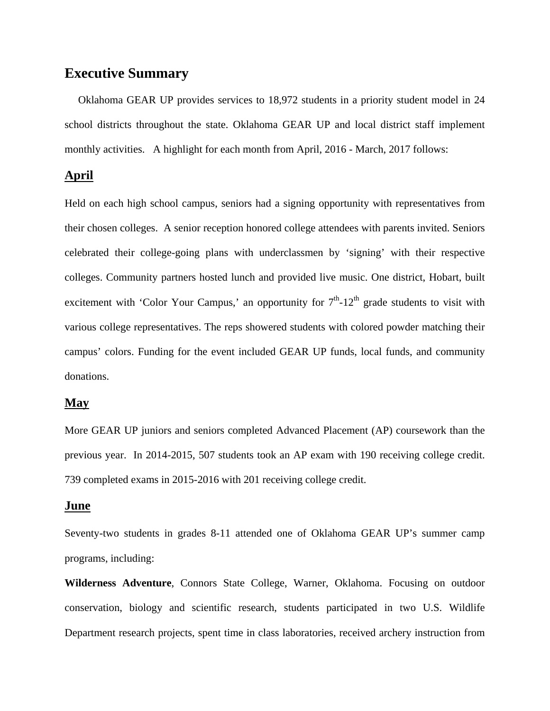# **Executive Summary**

 Oklahoma GEAR UP provides services to 18,972 students in a priority student model in 24 school districts throughout the state. Oklahoma GEAR UP and local district staff implement monthly activities. A highlight for each month from April, 2016 - March, 2017 follows:

## **April**

Held on each high school campus, seniors had a signing opportunity with representatives from their chosen colleges. A senior reception honored college attendees with parents invited. Seniors celebrated their college-going plans with underclassmen by 'signing' with their respective colleges. Community partners hosted lunch and provided live music. One district, Hobart, built excitement with 'Color Your Campus,' an opportunity for  $7<sup>th</sup>$ -12<sup>th</sup> grade students to visit with various college representatives. The reps showered students with colored powder matching their campus' colors. Funding for the event included GEAR UP funds, local funds, and community donations.

#### **May**

More GEAR UP juniors and seniors completed Advanced Placement (AP) coursework than the previous year. In 2014-2015, 507 students took an AP exam with 190 receiving college credit. 739 completed exams in 2015-2016 with 201 receiving college credit.

## **June**

Seventy-two students in grades 8-11 attended one of Oklahoma GEAR UP's summer camp programs, including:

**Wilderness Adventure**, Connors State College, Warner, Oklahoma. Focusing on outdoor conservation, biology and scientific research, students participated in two U.S. Wildlife Department research projects, spent time in class laboratories, received archery instruction from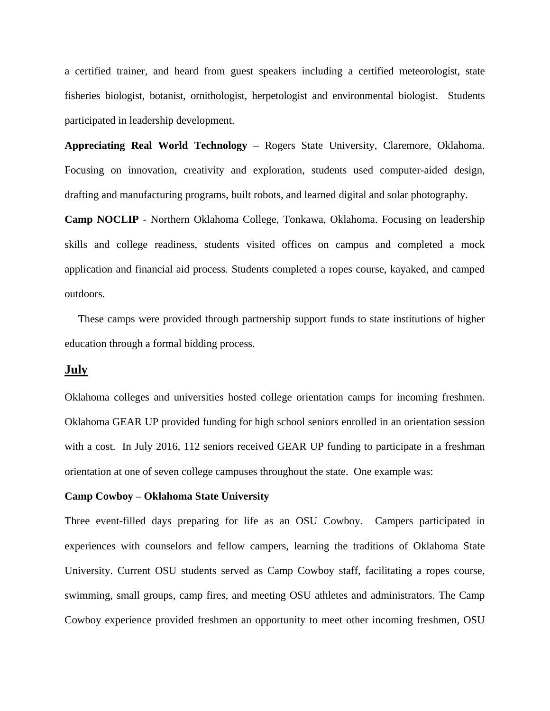a certified trainer, and heard from guest speakers including a certified meteorologist, state fisheries biologist, botanist, ornithologist, herpetologist and environmental biologist. Students participated in leadership development.

**Appreciating Real World Technology** – Rogers State University, Claremore, Oklahoma. Focusing on innovation, creativity and exploration, students used computer-aided design, drafting and manufacturing programs, built robots, and learned digital and solar photography.

**Camp NOCLIP** - Northern Oklahoma College, Tonkawa, Oklahoma. Focusing on leadership skills and college readiness, students visited offices on campus and completed a mock application and financial aid process. Students completed a ropes course, kayaked, and camped outdoors.

 These camps were provided through partnership support funds to state institutions of higher education through a formal bidding process.

## **July**

Oklahoma colleges and universities hosted college orientation camps for incoming freshmen. Oklahoma GEAR UP provided funding for high school seniors enrolled in an orientation session with a cost. In July 2016, 112 seniors received GEAR UP funding to participate in a freshman orientation at one of seven college campuses throughout the state. One example was:

#### **Camp Cowboy – Oklahoma State University**

Three event-filled days preparing for life as an OSU Cowboy. Campers participated in experiences with counselors and fellow campers, learning the traditions of Oklahoma State University. Current OSU students served as Camp Cowboy staff, facilitating a ropes course, swimming, small groups, camp fires, and meeting OSU athletes and administrators. The Camp Cowboy experience provided freshmen an opportunity to meet other incoming freshmen, OSU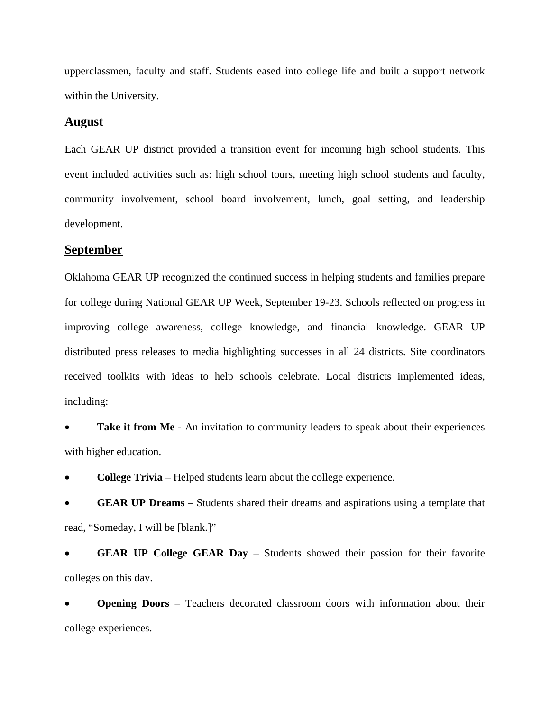upperclassmen, faculty and staff. Students eased into college life and built a support network within the University.

## **August**

Each GEAR UP district provided a transition event for incoming high school students. This event included activities such as: high school tours, meeting high school students and faculty, community involvement, school board involvement, lunch, goal setting, and leadership development.

#### **September**

Oklahoma GEAR UP recognized the continued success in helping students and families prepare for college during National GEAR UP Week, September 19-23. Schools reflected on progress in improving college awareness, college knowledge, and financial knowledge. GEAR UP distributed press releases to media highlighting successes in all 24 districts. Site coordinators received toolkits with ideas to help schools celebrate. Local districts implemented ideas, including:

**Take it from Me** - An invitation to community leaders to speak about their experiences with higher education.

**College Trivia** – Helped students learn about the college experience.

 **GEAR UP Dreams** – Students shared their dreams and aspirations using a template that read, "Someday, I will be [blank.]"

 **GEAR UP College GEAR Day** – Students showed their passion for their favorite colleges on this day.

 **Opening Doors** – Teachers decorated classroom doors with information about their college experiences.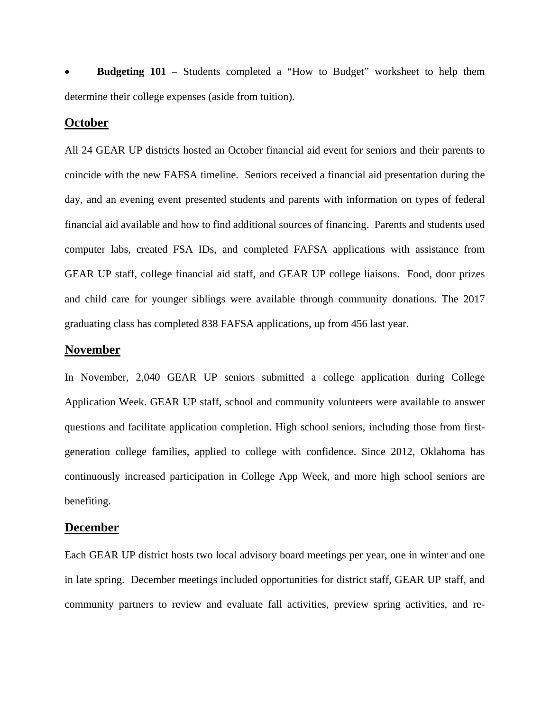**Budgeting 101** – Students completed a "How to Budget" worksheet to help them determine their college expenses (aside from tuition).

## **October**

All 24 GEAR UP districts hosted an October financial aid event for seniors and their parents to coincide with the new FAFSA timeline. Seniors received a financial aid presentation during the day, and an evening event presented students and parents with information on types of federal financial aid available and how to find additional sources of financing. Parents and students used computer labs, created FSA IDs, and completed FAFSA applications with assistance from GEAR UP staff, college financial aid staff, and GEAR UP college liaisons. Food, door prizes and child care for younger siblings were available through community donations. The 2017 graduating class has completed 838 FAFSA applications, up from 456 last year.

## **November**

In November, 2,040 GEAR UP seniors submitted a college application during College Application Week. GEAR UP staff, school and community volunteers were available to answer questions and facilitate application completion. High school seniors, including those from firstgeneration college families, applied to college with confidence. Since 2012, Oklahoma has continuously increased participation in College App Week, and more high school seniors are benefiting.

## **December**

Each GEAR UP district hosts two local advisory board meetings per year, one in winter and one in late spring. December meetings included opportunities for district staff, GEAR UP staff, and community partners to review and evaluate fall activities, preview spring activities, and re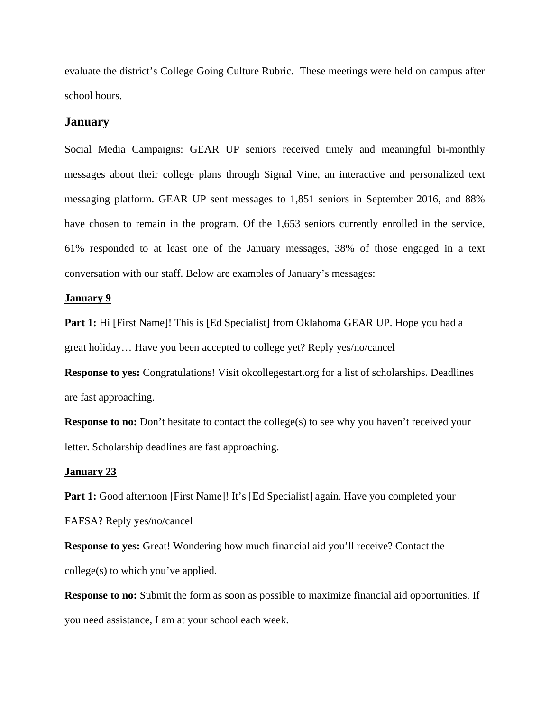evaluate the district's College Going Culture Rubric. These meetings were held on campus after school hours.

#### **January**

Social Media Campaigns: GEAR UP seniors received timely and meaningful bi-monthly messages about their college plans through Signal Vine, an interactive and personalized text messaging platform. GEAR UP sent messages to 1,851 seniors in September 2016, and 88% have chosen to remain in the program. Of the 1,653 seniors currently enrolled in the service, 61% responded to at least one of the January messages, 38% of those engaged in a text conversation with our staff. Below are examples of January's messages:

#### **January 9**

**Part 1:** Hi [First Name]! This is [Ed Specialist] from Oklahoma GEAR UP. Hope you had a great holiday… Have you been accepted to college yet? Reply yes/no/cancel

**Response to yes:** Congratulations! Visit okcollegestart.org for a list of scholarships. Deadlines are fast approaching.

**Response to no:** Don't hesitate to contact the college(s) to see why you haven't received your letter. Scholarship deadlines are fast approaching.

#### **January 23**

**Part 1:** Good afternoon [First Name]! It's [Ed Specialist] again. Have you completed your FAFSA? Reply yes/no/cancel

**Response to yes:** Great! Wondering how much financial aid you'll receive? Contact the college(s) to which you've applied.

**Response to no:** Submit the form as soon as possible to maximize financial aid opportunities. If you need assistance, I am at your school each week.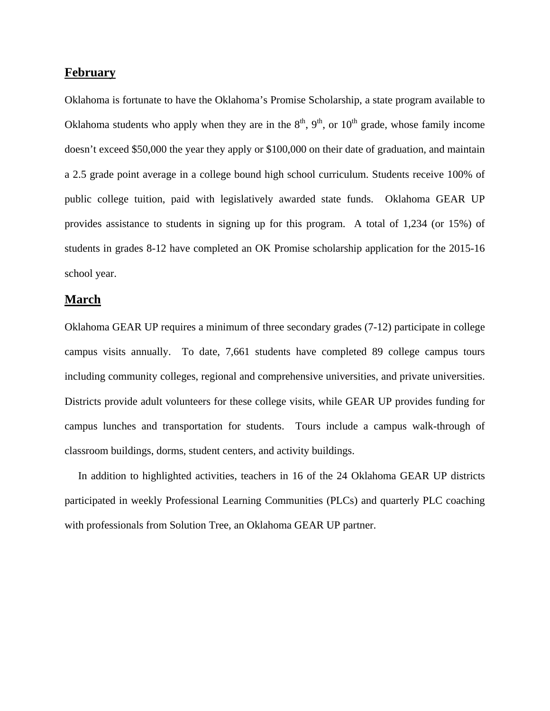## **February**

Oklahoma is fortunate to have the Oklahoma's Promise Scholarship, a state program available to Oklahoma students who apply when they are in the  $8<sup>th</sup>$ ,  $9<sup>th</sup>$ , or  $10<sup>th</sup>$  grade, whose family income doesn't exceed \$50,000 the year they apply or \$100,000 on their date of graduation, and maintain a 2.5 grade point average in a college bound high school curriculum. Students receive 100% of public college tuition, paid with legislatively awarded state funds. Oklahoma GEAR UP provides assistance to students in signing up for this program. A total of 1,234 (or 15%) of students in grades 8-12 have completed an OK Promise scholarship application for the 2015-16 school year.

## **March**

Oklahoma GEAR UP requires a minimum of three secondary grades (7-12) participate in college campus visits annually. To date, 7,661 students have completed 89 college campus tours including community colleges, regional and comprehensive universities, and private universities. Districts provide adult volunteers for these college visits, while GEAR UP provides funding for campus lunches and transportation for students. Tours include a campus walk-through of classroom buildings, dorms, student centers, and activity buildings.

 In addition to highlighted activities, teachers in 16 of the 24 Oklahoma GEAR UP districts participated in weekly Professional Learning Communities (PLCs) and quarterly PLC coaching with professionals from Solution Tree, an Oklahoma GEAR UP partner.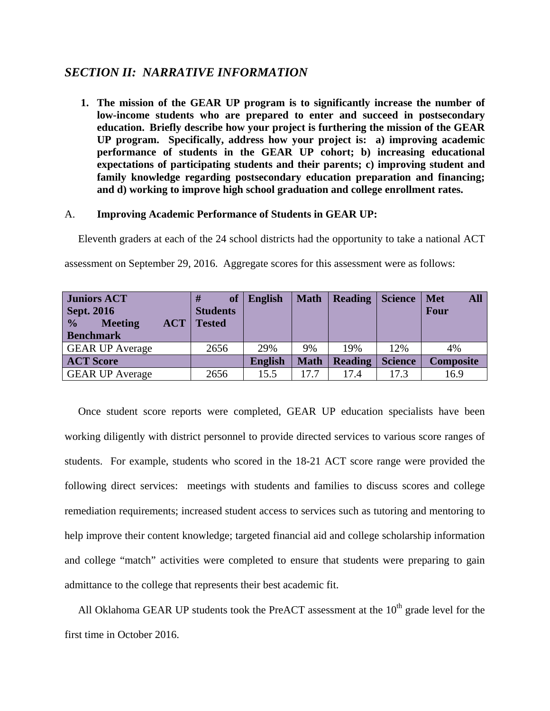## *SECTION II: NARRATIVE INFORMATION*

**1. The mission of the GEAR UP program is to significantly increase the number of low-income students who are prepared to enter and succeed in postsecondary education. Briefly describe how your project is furthering the mission of the GEAR UP program. Specifically, address how your project is: a) improving academic performance of students in the GEAR UP cohort; b) increasing educational expectations of participating students and their parents; c) improving student and family knowledge regarding postsecondary education preparation and financing; and d) working to improve high school graduation and college enrollment rates.** 

## A. **Improving Academic Performance of Students in GEAR UP:**

Eleventh graders at each of the 24 school districts had the opportunity to take a national ACT

assessment on September 29, 2016. Aggregate scores for this assessment were as follows:

| <b>Juniors ACT</b>                             | <b>of</b>       | <b>English</b> | <b>Math</b> | <b>Reading</b> | <b>Science</b> | <b>All</b><br><b>Met</b> |
|------------------------------------------------|-----------------|----------------|-------------|----------------|----------------|--------------------------|
| <b>Sept. 2016</b>                              | <b>Students</b> |                |             |                |                | Four                     |
| $\frac{6}{10}$<br><b>Meeting</b><br><b>ACT</b> | <b>Tested</b>   |                |             |                |                |                          |
| <b>Benchmark</b>                               |                 |                |             |                |                |                          |
| <b>GEAR UP Average</b>                         | 2656            | 29%            | 9%          | 19%            | 12%            | 4%                       |
| <b>ACT Score</b>                               |                 | <b>English</b> | <b>Math</b> | <b>Reading</b> | <b>Science</b> | <b>Composite</b>         |
| <b>GEAR UP Average</b>                         | 2656            | 15.5           | 17.7        | 17.4           | 17.3           | 16.9                     |

 Once student score reports were completed, GEAR UP education specialists have been working diligently with district personnel to provide directed services to various score ranges of students. For example, students who scored in the 18-21 ACT score range were provided the following direct services: meetings with students and families to discuss scores and college remediation requirements; increased student access to services such as tutoring and mentoring to help improve their content knowledge; targeted financial aid and college scholarship information and college "match" activities were completed to ensure that students were preparing to gain admittance to the college that represents their best academic fit.

All Oklahoma GEAR UP students took the PreACT assessment at the  $10<sup>th</sup>$  grade level for the first time in October 2016.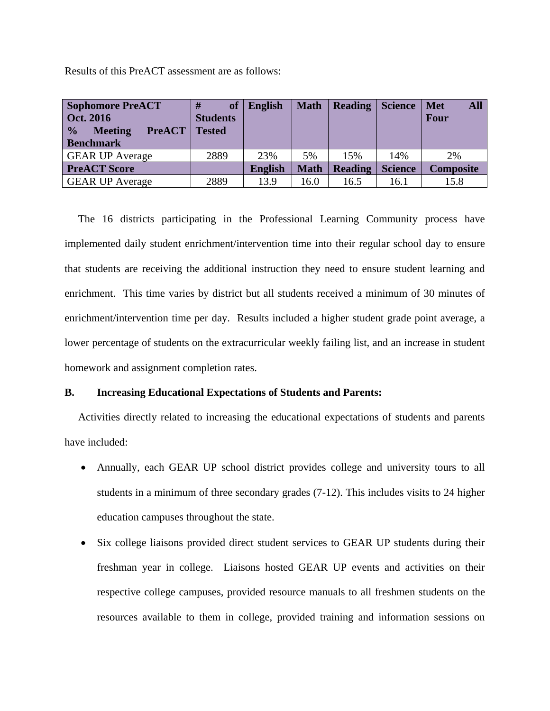Results of this PreACT assessment are as follows:

| <b>Sophomore PreACT</b><br>Oct. 2016<br>$\frac{0}{0}$<br><b>PreACT</b><br><b>Meeting</b><br><b>Benchmark</b> | <b>of</b><br><b>Students</b><br><b>Tested</b> | <b>English</b> | <b>Math</b> | <b>Reading</b> | <b>Science</b> | <b>All</b><br><b>Met</b><br>Four |
|--------------------------------------------------------------------------------------------------------------|-----------------------------------------------|----------------|-------------|----------------|----------------|----------------------------------|
| <b>GEAR UP Average</b>                                                                                       | 2889                                          | 23%            | 5%          | 15%            | 14%            | 2%                               |
| <b>PreACT Score</b>                                                                                          |                                               | <b>English</b> | <b>Math</b> | <b>Reading</b> | <b>Science</b> | <b>Composite</b>                 |
| <b>GEAR UP Average</b>                                                                                       | 2889                                          | 13.9           | 16.0        | 16.5           | 16.1           | 15.8                             |

 The 16 districts participating in the Professional Learning Community process have implemented daily student enrichment/intervention time into their regular school day to ensure that students are receiving the additional instruction they need to ensure student learning and enrichment. This time varies by district but all students received a minimum of 30 minutes of enrichment/intervention time per day. Results included a higher student grade point average, a lower percentage of students on the extracurricular weekly failing list, and an increase in student homework and assignment completion rates.

## **B. Increasing Educational Expectations of Students and Parents:**

 Activities directly related to increasing the educational expectations of students and parents have included:

- Annually, each GEAR UP school district provides college and university tours to all students in a minimum of three secondary grades (7-12). This includes visits to 24 higher education campuses throughout the state.
- Six college liaisons provided direct student services to GEAR UP students during their freshman year in college. Liaisons hosted GEAR UP events and activities on their respective college campuses, provided resource manuals to all freshmen students on the resources available to them in college, provided training and information sessions on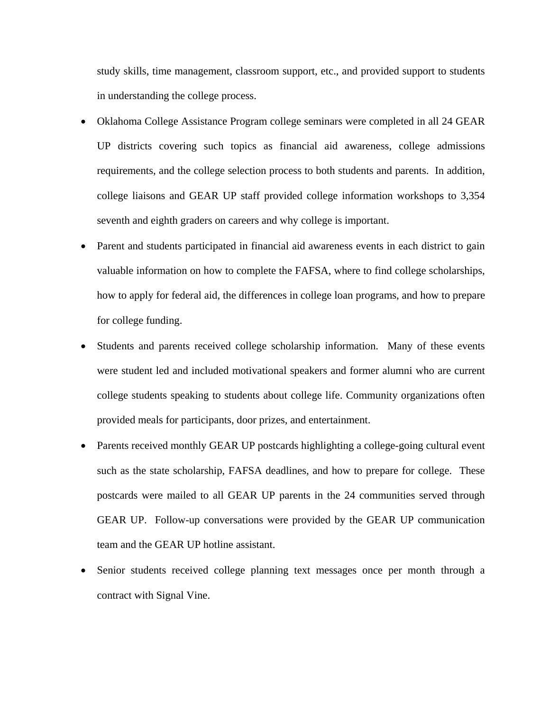study skills, time management, classroom support, etc., and provided support to students in understanding the college process.

- Oklahoma College Assistance Program college seminars were completed in all 24 GEAR UP districts covering such topics as financial aid awareness, college admissions requirements, and the college selection process to both students and parents. In addition, college liaisons and GEAR UP staff provided college information workshops to 3,354 seventh and eighth graders on careers and why college is important.
- Parent and students participated in financial aid awareness events in each district to gain valuable information on how to complete the FAFSA, where to find college scholarships, how to apply for federal aid, the differences in college loan programs, and how to prepare for college funding.
- Students and parents received college scholarship information. Many of these events were student led and included motivational speakers and former alumni who are current college students speaking to students about college life. Community organizations often provided meals for participants, door prizes, and entertainment.
- Parents received monthly GEAR UP postcards highlighting a college-going cultural event such as the state scholarship, FAFSA deadlines, and how to prepare for college. These postcards were mailed to all GEAR UP parents in the 24 communities served through GEAR UP. Follow-up conversations were provided by the GEAR UP communication team and the GEAR UP hotline assistant.
- Senior students received college planning text messages once per month through a contract with Signal Vine.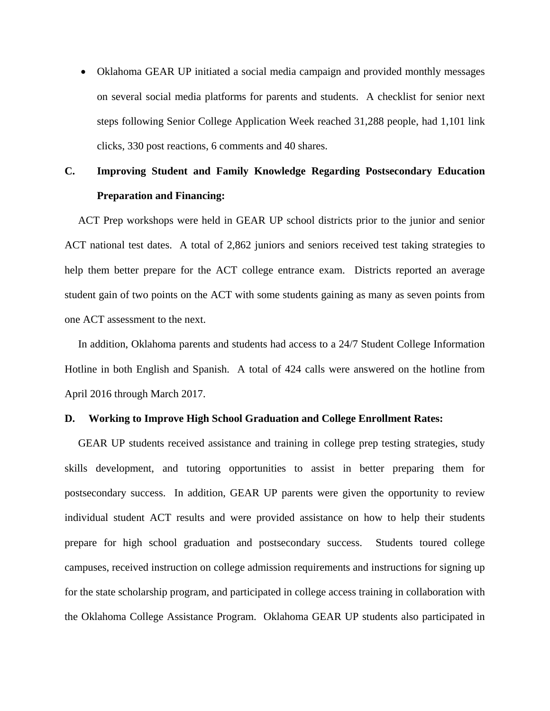Oklahoma GEAR UP initiated a social media campaign and provided monthly messages on several social media platforms for parents and students. A checklist for senior next steps following Senior College Application Week reached 31,288 people, had 1,101 link clicks, 330 post reactions, 6 comments and 40 shares.

# **C. Improving Student and Family Knowledge Regarding Postsecondary Education Preparation and Financing:**

 ACT Prep workshops were held in GEAR UP school districts prior to the junior and senior ACT national test dates. A total of 2,862 juniors and seniors received test taking strategies to help them better prepare for the ACT college entrance exam. Districts reported an average student gain of two points on the ACT with some students gaining as many as seven points from one ACT assessment to the next.

 In addition, Oklahoma parents and students had access to a 24/7 Student College Information Hotline in both English and Spanish. A total of 424 calls were answered on the hotline from April 2016 through March 2017.

## **D. Working to Improve High School Graduation and College Enrollment Rates:**

 GEAR UP students received assistance and training in college prep testing strategies, study skills development, and tutoring opportunities to assist in better preparing them for postsecondary success. In addition, GEAR UP parents were given the opportunity to review individual student ACT results and were provided assistance on how to help their students prepare for high school graduation and postsecondary success. Students toured college campuses, received instruction on college admission requirements and instructions for signing up for the state scholarship program, and participated in college access training in collaboration with the Oklahoma College Assistance Program. Oklahoma GEAR UP students also participated in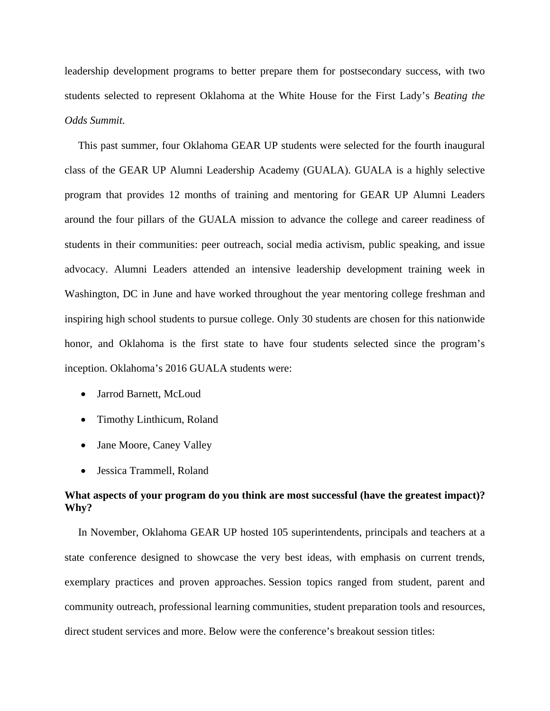leadership development programs to better prepare them for postsecondary success, with two students selected to represent Oklahoma at the White House for the First Lady's *Beating the Odds Summit.* 

 This past summer, four Oklahoma GEAR UP students were selected for the fourth inaugural class of the GEAR UP Alumni Leadership Academy (GUALA). GUALA is a highly selective program that provides 12 months of training and mentoring for GEAR UP Alumni Leaders around the four pillars of the GUALA mission to advance the college and career readiness of students in their communities: peer outreach, social media activism, public speaking, and issue advocacy. Alumni Leaders attended an intensive leadership development training week in Washington, DC in June and have worked throughout the year mentoring college freshman and inspiring high school students to pursue college. Only 30 students are chosen for this nationwide honor, and Oklahoma is the first state to have four students selected since the program's inception. Oklahoma's 2016 GUALA students were:

- Jarrod Barnett, McLoud
- Timothy Linthicum, Roland
- Jane Moore, Caney Valley
- Jessica Trammell, Roland

## **What aspects of your program do you think are most successful (have the greatest impact)? Why?**

 In November, Oklahoma GEAR UP hosted 105 superintendents, principals and teachers at a state conference designed to showcase the very best ideas, with emphasis on current trends, exemplary practices and proven approaches. Session topics ranged from student, parent and community outreach, professional learning communities, student preparation tools and resources, direct student services and more. Below were the conference's breakout session titles: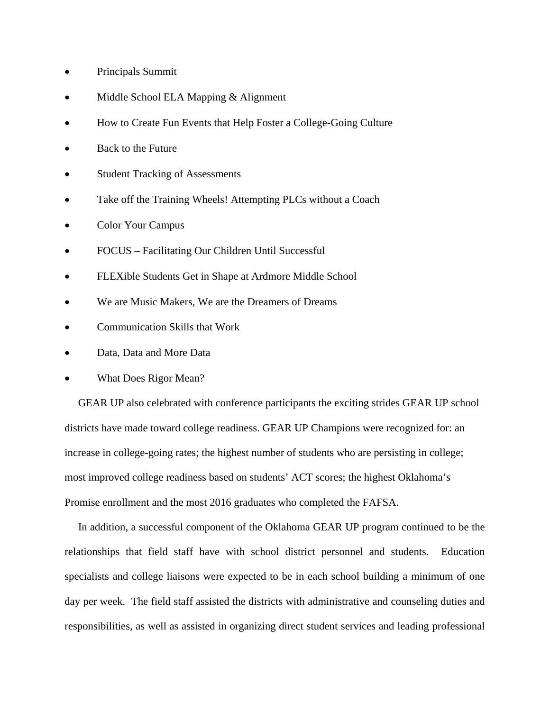- Principals Summit
- Middle School ELA Mapping & Alignment
- How to Create Fun Events that Help Foster a College-Going Culture
- Back to the Future
- Student Tracking of Assessments
- Take off the Training Wheels! Attempting PLCs without a Coach
- Color Your Campus
- FOCUS Facilitating Our Children Until Successful
- FLEXible Students Get in Shape at Ardmore Middle School
- We are Music Makers, We are the Dreamers of Dreams
- Communication Skills that Work
- Data, Data and More Data
- What Does Rigor Mean?

 GEAR UP also celebrated with conference participants the exciting strides GEAR UP school districts have made toward college readiness. GEAR UP Champions were recognized for: an increase in college-going rates; the highest number of students who are persisting in college; most improved college readiness based on students' ACT scores; the highest Oklahoma's Promise enrollment and the most 2016 graduates who completed the FAFSA.

 In addition, a successful component of the Oklahoma GEAR UP program continued to be the relationships that field staff have with school district personnel and students. Education specialists and college liaisons were expected to be in each school building a minimum of one day per week. The field staff assisted the districts with administrative and counseling duties and responsibilities, as well as assisted in organizing direct student services and leading professional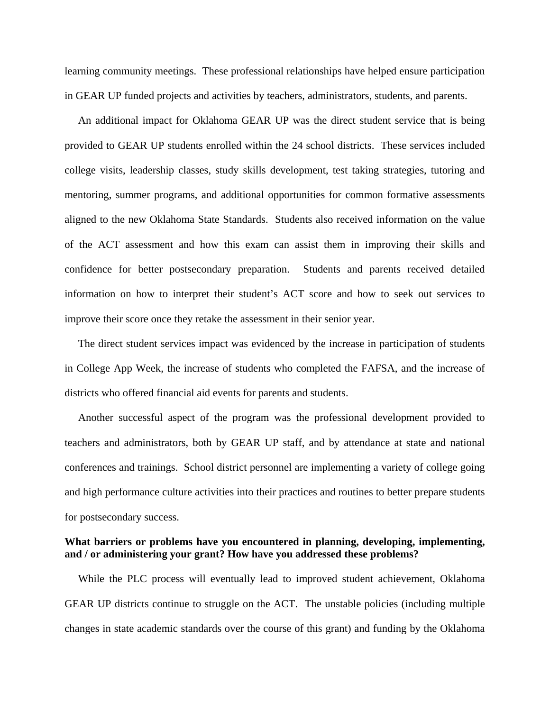learning community meetings. These professional relationships have helped ensure participation in GEAR UP funded projects and activities by teachers, administrators, students, and parents.

 An additional impact for Oklahoma GEAR UP was the direct student service that is being provided to GEAR UP students enrolled within the 24 school districts. These services included college visits, leadership classes, study skills development, test taking strategies, tutoring and mentoring, summer programs, and additional opportunities for common formative assessments aligned to the new Oklahoma State Standards. Students also received information on the value of the ACT assessment and how this exam can assist them in improving their skills and confidence for better postsecondary preparation. Students and parents received detailed information on how to interpret their student's ACT score and how to seek out services to improve their score once they retake the assessment in their senior year.

 The direct student services impact was evidenced by the increase in participation of students in College App Week, the increase of students who completed the FAFSA, and the increase of districts who offered financial aid events for parents and students.

 Another successful aspect of the program was the professional development provided to teachers and administrators, both by GEAR UP staff, and by attendance at state and national conferences and trainings. School district personnel are implementing a variety of college going and high performance culture activities into their practices and routines to better prepare students for postsecondary success.

### **What barriers or problems have you encountered in planning, developing, implementing, and / or administering your grant? How have you addressed these problems?**

 While the PLC process will eventually lead to improved student achievement, Oklahoma GEAR UP districts continue to struggle on the ACT. The unstable policies (including multiple changes in state academic standards over the course of this grant) and funding by the Oklahoma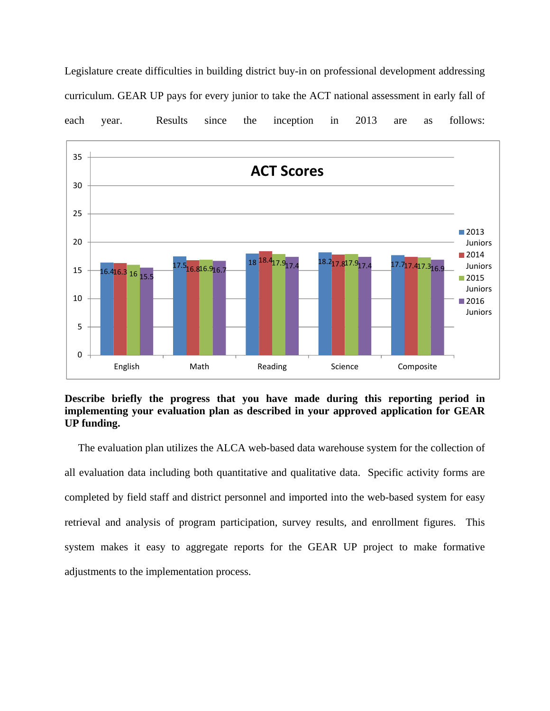Legislature create difficulties in building district buy-in on professional development addressing curriculum. GEAR UP pays for every junior to take the ACT national assessment in early fall of each year. Results since the inception in 2013 are as follows:



**Describe briefly the progress that you have made during this reporting period in implementing your evaluation plan as described in your approved application for GEAR UP funding.** 

 The evaluation plan utilizes the ALCA web-based data warehouse system for the collection of all evaluation data including both quantitative and qualitative data. Specific activity forms are completed by field staff and district personnel and imported into the web-based system for easy retrieval and analysis of program participation, survey results, and enrollment figures. This system makes it easy to aggregate reports for the GEAR UP project to make formative adjustments to the implementation process.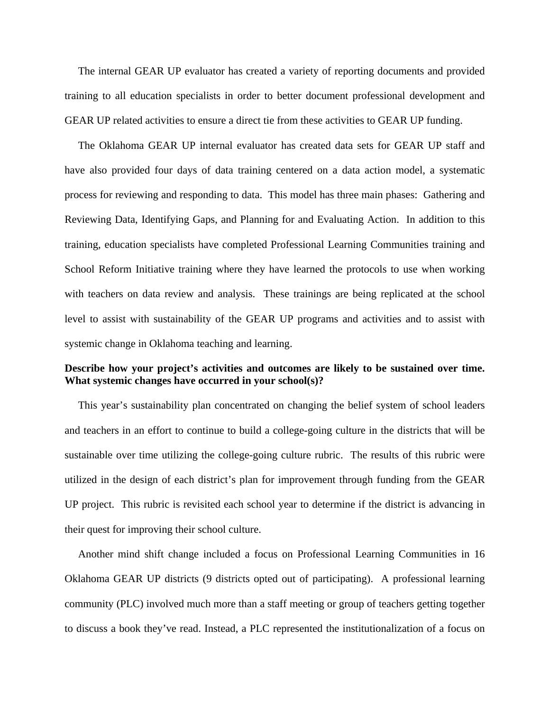The internal GEAR UP evaluator has created a variety of reporting documents and provided training to all education specialists in order to better document professional development and GEAR UP related activities to ensure a direct tie from these activities to GEAR UP funding.

 The Oklahoma GEAR UP internal evaluator has created data sets for GEAR UP staff and have also provided four days of data training centered on a data action model, a systematic process for reviewing and responding to data. This model has three main phases: Gathering and Reviewing Data, Identifying Gaps, and Planning for and Evaluating Action. In addition to this training, education specialists have completed Professional Learning Communities training and School Reform Initiative training where they have learned the protocols to use when working with teachers on data review and analysis. These trainings are being replicated at the school level to assist with sustainability of the GEAR UP programs and activities and to assist with systemic change in Oklahoma teaching and learning.

## **Describe how your project's activities and outcomes are likely to be sustained over time. What systemic changes have occurred in your school(s)?**

 This year's sustainability plan concentrated on changing the belief system of school leaders and teachers in an effort to continue to build a college-going culture in the districts that will be sustainable over time utilizing the college-going culture rubric. The results of this rubric were utilized in the design of each district's plan for improvement through funding from the GEAR UP project. This rubric is revisited each school year to determine if the district is advancing in their quest for improving their school culture.

 Another mind shift change included a focus on Professional Learning Communities in 16 Oklahoma GEAR UP districts (9 districts opted out of participating). A professional learning community (PLC) involved much more than a staff meeting or group of teachers getting together to discuss a book they've read. Instead, a PLC represented the institutionalization of a focus on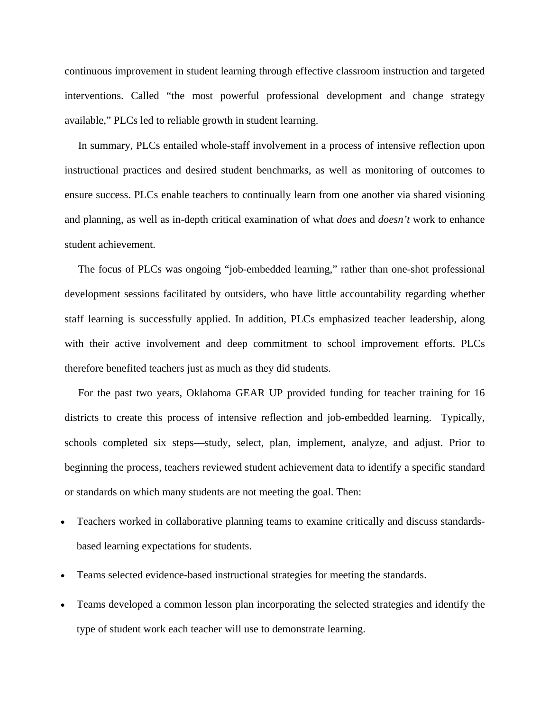continuous improvement in student learning through effective classroom instruction and targeted interventions. Called "the most powerful professional development and change strategy available," PLCs led to reliable growth in student learning.

 In summary, PLCs entailed whole-staff involvement in a process of intensive reflection upon instructional practices and desired student benchmarks, as well as monitoring of outcomes to ensure success. PLCs enable teachers to continually learn from one another via shared visioning and planning, as well as in-depth critical examination of what *does* and *doesn't* work to enhance student achievement.

 The focus of PLCs was ongoing "job-embedded learning," rather than one-shot professional development sessions facilitated by outsiders, who have little accountability regarding whether staff learning is successfully applied. In addition, PLCs emphasized teacher leadership, along with their active involvement and deep commitment to school improvement efforts. PLCs therefore benefited teachers just as much as they did students.

 For the past two years, Oklahoma GEAR UP provided funding for teacher training for 16 districts to create this process of intensive reflection and job-embedded learning. Typically, schools completed six steps—study, select, plan, implement, analyze, and adjust. Prior to beginning the process, teachers reviewed student achievement data to identify a specific standard or standards on which many students are not meeting the goal. Then:

- Teachers worked in collaborative planning teams to examine critically and discuss standardsbased learning expectations for students.
- Teams selected evidence-based instructional strategies for meeting the standards.
- Teams developed a common lesson plan incorporating the selected strategies and identify the type of student work each teacher will use to demonstrate learning.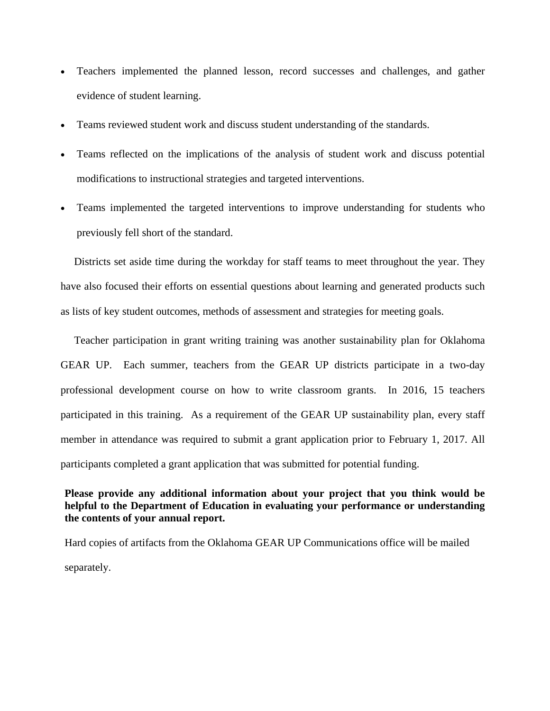- Teachers implemented the planned lesson, record successes and challenges, and gather evidence of student learning.
- Teams reviewed student work and discuss student understanding of the standards.
- Teams reflected on the implications of the analysis of student work and discuss potential modifications to instructional strategies and targeted interventions.
- Teams implemented the targeted interventions to improve understanding for students who previously fell short of the standard.

 Districts set aside time during the workday for staff teams to meet throughout the year. They have also focused their efforts on essential questions about learning and generated products such as lists of key student outcomes, methods of assessment and strategies for meeting goals.

 Teacher participation in grant writing training was another sustainability plan for Oklahoma GEAR UP. Each summer, teachers from the GEAR UP districts participate in a two-day professional development course on how to write classroom grants. In 2016, 15 teachers participated in this training. As a requirement of the GEAR UP sustainability plan, every staff member in attendance was required to submit a grant application prior to February 1, 2017. All participants completed a grant application that was submitted for potential funding.

## **Please provide any additional information about your project that you think would be helpful to the Department of Education in evaluating your performance or understanding the contents of your annual report.**

Hard copies of artifacts from the Oklahoma GEAR UP Communications office will be mailed separately.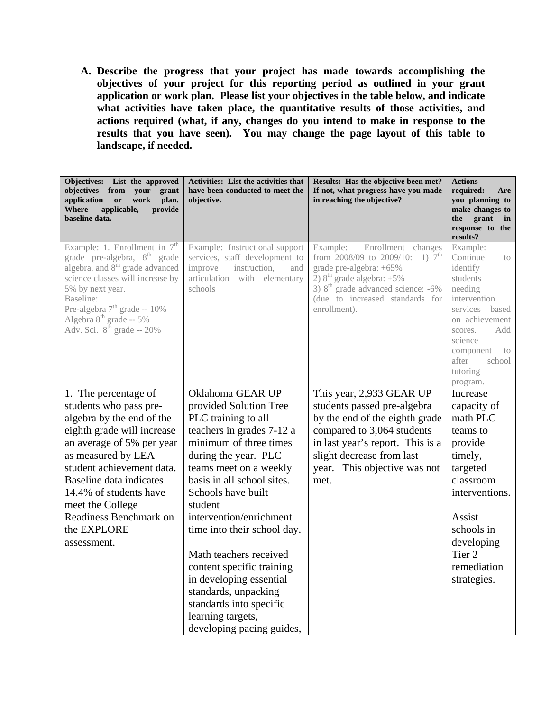**A. Describe the progress that your project has made towards accomplishing the objectives of your project for this reporting period as outlined in your grant application or work plan. Please list your objectives in the table below, and indicate what activities have taken place, the quantitative results of those activities, and actions required (what, if any, changes do you intend to make in response to the results that you have seen). You may change the page layout of this table to landscape, if needed.** 

| <b>Objectives:</b><br>List the approved<br>objectives from<br>your<br>grant<br>application<br>work<br>plan.<br>or<br>provide<br>Where<br>applicable,<br>baseline data.                                                                                                                                                       | <b>Activities:</b> List the activities that<br>have been conducted to meet the<br>objective.                                                  | Results: Has the objective been met?<br>If not, what progress have you made<br>in reaching the objective?                                                                                                                                  | <b>Actions</b><br>required:<br>Are<br>you planning to<br>make changes to<br>the<br>grant<br>in<br>response to<br>the<br>results?                                                                                |
|------------------------------------------------------------------------------------------------------------------------------------------------------------------------------------------------------------------------------------------------------------------------------------------------------------------------------|-----------------------------------------------------------------------------------------------------------------------------------------------|--------------------------------------------------------------------------------------------------------------------------------------------------------------------------------------------------------------------------------------------|-----------------------------------------------------------------------------------------------------------------------------------------------------------------------------------------------------------------|
| Example: 1. Enrollment in $7th$<br>grade pre-algebra, 8 <sup>th</sup> grade<br>algebra, and 8 <sup>th</sup> grade advanced<br>science classes will increase by<br>5% by next year.<br>Baseline:<br>Pre-algebra 7 <sup>th</sup> grade -- 10%<br>Algebra $8^{\text{th}}$ grade -- 5%<br>Adv. Sci. $8^{\text{th}}$ grade -- 20% | Example: Instructional support<br>services, staff development to<br>improve<br>instruction,<br>and<br>articulation with elementary<br>schools | Enrollment<br>Example:<br>changes<br>from 2008/09 to 2009/10: 1) $7^{\text{th}}$<br>grade pre-algebra: +65%<br>2) $8th$ grade algebra: $+5\%$<br>$3)$ $8th$ grade advanced science: -6%<br>(due to increased standards for<br>enrollment). | Example:<br>Continue<br>to<br>identify<br>students<br>needing<br>intervention<br>services<br>based<br>on achievement<br>Add<br>scores.<br>science<br>component<br>to<br>school<br>after<br>tutoring<br>program. |
| 1. The percentage of                                                                                                                                                                                                                                                                                                         | Oklahoma GEAR UP                                                                                                                              | This year, 2,933 GEAR UP                                                                                                                                                                                                                   | Increase                                                                                                                                                                                                        |
| students who pass pre-                                                                                                                                                                                                                                                                                                       | provided Solution Tree                                                                                                                        | students passed pre-algebra                                                                                                                                                                                                                | capacity of                                                                                                                                                                                                     |
| algebra by the end of the                                                                                                                                                                                                                                                                                                    | PLC training to all                                                                                                                           | by the end of the eighth grade                                                                                                                                                                                                             | math PLC                                                                                                                                                                                                        |
| eighth grade will increase                                                                                                                                                                                                                                                                                                   | teachers in grades 7-12 a                                                                                                                     | compared to 3,064 students                                                                                                                                                                                                                 | teams to                                                                                                                                                                                                        |
| an average of 5% per year                                                                                                                                                                                                                                                                                                    | minimum of three times                                                                                                                        | in last year's report. This is a                                                                                                                                                                                                           | provide                                                                                                                                                                                                         |
| as measured by LEA                                                                                                                                                                                                                                                                                                           | during the year. PLC                                                                                                                          | slight decrease from last                                                                                                                                                                                                                  | timely,                                                                                                                                                                                                         |
| student achievement data.                                                                                                                                                                                                                                                                                                    | teams meet on a weekly                                                                                                                        | year. This objective was not                                                                                                                                                                                                               | targeted                                                                                                                                                                                                        |
| Baseline data indicates                                                                                                                                                                                                                                                                                                      | basis in all school sites.                                                                                                                    | met.                                                                                                                                                                                                                                       | classroom                                                                                                                                                                                                       |
| 14.4% of students have                                                                                                                                                                                                                                                                                                       | Schools have built                                                                                                                            |                                                                                                                                                                                                                                            | interventions.                                                                                                                                                                                                  |
| meet the College                                                                                                                                                                                                                                                                                                             | student                                                                                                                                       |                                                                                                                                                                                                                                            |                                                                                                                                                                                                                 |
| Readiness Benchmark on                                                                                                                                                                                                                                                                                                       | intervention/enrichment                                                                                                                       |                                                                                                                                                                                                                                            | Assist                                                                                                                                                                                                          |
| the EXPLORE                                                                                                                                                                                                                                                                                                                  | time into their school day.                                                                                                                   |                                                                                                                                                                                                                                            | schools in                                                                                                                                                                                                      |
| assessment.                                                                                                                                                                                                                                                                                                                  |                                                                                                                                               |                                                                                                                                                                                                                                            | developing                                                                                                                                                                                                      |
|                                                                                                                                                                                                                                                                                                                              | Math teachers received                                                                                                                        |                                                                                                                                                                                                                                            | Tier <sub>2</sub>                                                                                                                                                                                               |
|                                                                                                                                                                                                                                                                                                                              | content specific training                                                                                                                     |                                                                                                                                                                                                                                            | remediation                                                                                                                                                                                                     |
|                                                                                                                                                                                                                                                                                                                              | in developing essential                                                                                                                       |                                                                                                                                                                                                                                            | strategies.                                                                                                                                                                                                     |
|                                                                                                                                                                                                                                                                                                                              | standards, unpacking                                                                                                                          |                                                                                                                                                                                                                                            |                                                                                                                                                                                                                 |
|                                                                                                                                                                                                                                                                                                                              | standards into specific                                                                                                                       |                                                                                                                                                                                                                                            |                                                                                                                                                                                                                 |
|                                                                                                                                                                                                                                                                                                                              | learning targets,                                                                                                                             |                                                                                                                                                                                                                                            |                                                                                                                                                                                                                 |
|                                                                                                                                                                                                                                                                                                                              | developing pacing guides,                                                                                                                     |                                                                                                                                                                                                                                            |                                                                                                                                                                                                                 |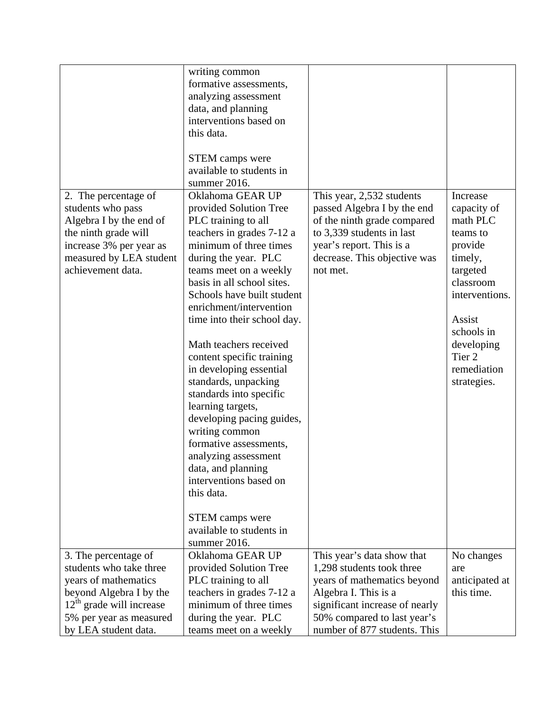|                            | writing common              |                                |                   |
|----------------------------|-----------------------------|--------------------------------|-------------------|
|                            | formative assessments,      |                                |                   |
|                            | analyzing assessment        |                                |                   |
|                            | data, and planning          |                                |                   |
|                            | interventions based on      |                                |                   |
|                            | this data.                  |                                |                   |
|                            | <b>STEM</b> camps were      |                                |                   |
|                            | available to students in    |                                |                   |
|                            | summer 2016.                |                                |                   |
| 2. The percentage of       | Oklahoma GEAR UP            | This year, 2,532 students      | Increase          |
| students who pass          | provided Solution Tree      | passed Algebra I by the end    | capacity of       |
| Algebra I by the end of    | PLC training to all         | of the ninth grade compared    | math PLC          |
| the ninth grade will       | teachers in grades 7-12 a   | to 3,339 students in last      | teams to          |
| increase 3% per year as    | minimum of three times      | year's report. This is a       | provide           |
| measured by LEA student    | during the year. PLC        | decrease. This objective was   | timely,           |
| achievement data.          | teams meet on a weekly      | not met.                       | targeted          |
|                            | basis in all school sites.  |                                | classroom         |
|                            | Schools have built student  |                                | interventions.    |
|                            | enrichment/intervention     |                                |                   |
|                            | time into their school day. |                                | Assist            |
|                            |                             |                                | schools in        |
|                            | Math teachers received      |                                | developing        |
|                            |                             |                                | Tier <sub>2</sub> |
|                            | content specific training   |                                | remediation       |
|                            | in developing essential     |                                |                   |
|                            | standards, unpacking        |                                | strategies.       |
|                            | standards into specific     |                                |                   |
|                            | learning targets,           |                                |                   |
|                            | developing pacing guides,   |                                |                   |
|                            | writing common              |                                |                   |
|                            | formative assessments,      |                                |                   |
|                            | analyzing assessment        |                                |                   |
|                            | data, and planning          |                                |                   |
|                            | interventions based on      |                                |                   |
|                            | this data.                  |                                |                   |
|                            | <b>STEM</b> camps were      |                                |                   |
|                            | available to students in    |                                |                   |
|                            | summer 2016.                |                                |                   |
| 3. The percentage of       | Oklahoma GEAR UP            | This year's data show that     | No changes        |
| students who take three    | provided Solution Tree      | 1,298 students took three      | are               |
| years of mathematics       | PLC training to all         | years of mathematics beyond    | anticipated at    |
| beyond Algebra I by the    | teachers in grades 7-12 a   | Algebra I. This is a           | this time.        |
| $12th$ grade will increase | minimum of three times      | significant increase of nearly |                   |
| 5% per year as measured    | during the year. PLC        | 50% compared to last year's    |                   |
| by LEA student data.       | teams meet on a weekly      | number of 877 students. This   |                   |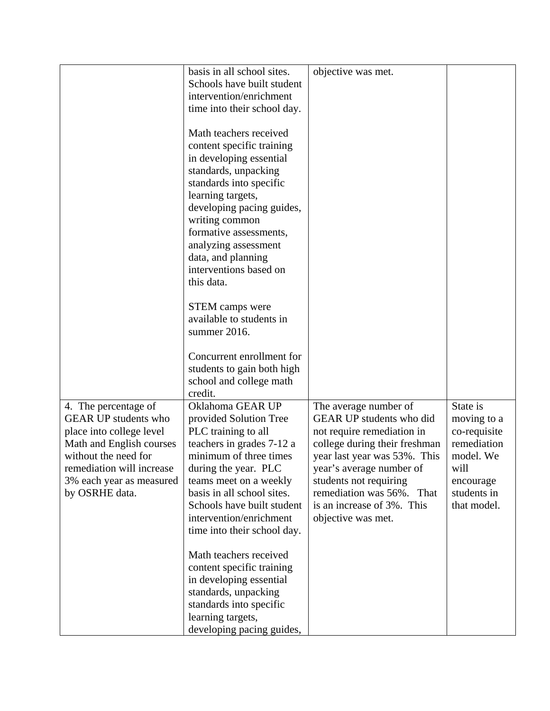|                             | basis in all school sites.  | objective was met.            |              |
|-----------------------------|-----------------------------|-------------------------------|--------------|
|                             | Schools have built student  |                               |              |
|                             | intervention/enrichment     |                               |              |
|                             | time into their school day. |                               |              |
|                             |                             |                               |              |
|                             | Math teachers received      |                               |              |
|                             |                             |                               |              |
|                             | content specific training   |                               |              |
|                             | in developing essential     |                               |              |
|                             | standards, unpacking        |                               |              |
|                             | standards into specific     |                               |              |
|                             | learning targets,           |                               |              |
|                             | developing pacing guides,   |                               |              |
|                             | writing common              |                               |              |
|                             | formative assessments,      |                               |              |
|                             | analyzing assessment        |                               |              |
|                             | data, and planning          |                               |              |
|                             | interventions based on      |                               |              |
|                             | this data.                  |                               |              |
|                             |                             |                               |              |
|                             | <b>STEM</b> camps were      |                               |              |
|                             | available to students in    |                               |              |
|                             | summer 2016.                |                               |              |
|                             |                             |                               |              |
|                             | Concurrent enrollment for   |                               |              |
|                             | students to gain both high  |                               |              |
|                             | school and college math     |                               |              |
|                             | credit.                     |                               |              |
| 4. The percentage of        | Oklahoma GEAR UP            | The average number of         | State is     |
| <b>GEAR UP students who</b> | provided Solution Tree      | GEAR UP students who did      | moving to a  |
|                             |                             |                               |              |
| place into college level    | PLC training to all         | not require remediation in    | co-requisite |
| Math and English courses    | teachers in grades 7-12 a   | college during their freshman | remediation  |
| without the need for        | minimum of three times      | year last year was 53%. This  | model. We    |
| remediation will increase   | during the year. PLC        | year's average number of      | will         |
| 3% each year as measured    | teams meet on a weekly      | students not requiring        | encourage    |
| by OSRHE data.              | basis in all school sites.  | remediation was 56%. That     | students in  |
|                             | Schools have built student  | is an increase of 3%. This    | that model.  |
|                             | intervention/enrichment     | objective was met.            |              |
|                             | time into their school day. |                               |              |
|                             |                             |                               |              |
|                             | Math teachers received      |                               |              |
|                             | content specific training   |                               |              |
|                             | in developing essential     |                               |              |
|                             | standards, unpacking        |                               |              |
|                             | standards into specific     |                               |              |
|                             | learning targets,           |                               |              |
|                             | developing pacing guides,   |                               |              |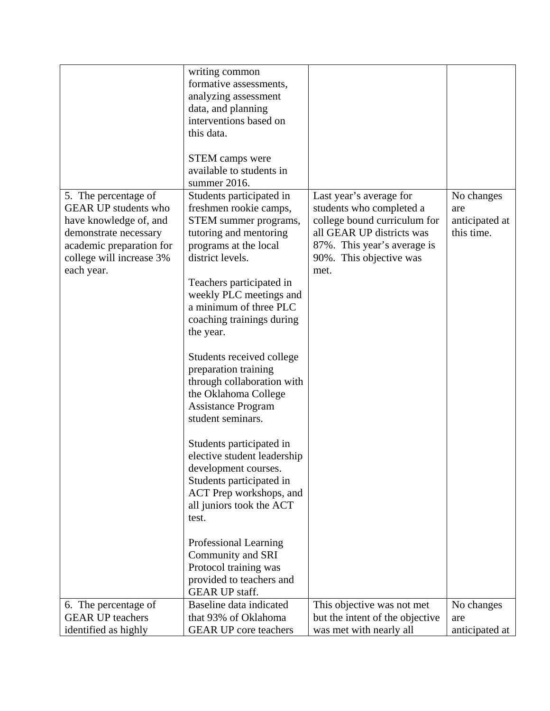|                                                                                                                                                                              | writing common<br>formative assessments,<br>analyzing assessment<br>data, and planning                                                                                                                                                                                                                                                                                                                                                                                                                                                                                                                                                                                                           |                                                                                                                                                                                    |                                                   |
|------------------------------------------------------------------------------------------------------------------------------------------------------------------------------|--------------------------------------------------------------------------------------------------------------------------------------------------------------------------------------------------------------------------------------------------------------------------------------------------------------------------------------------------------------------------------------------------------------------------------------------------------------------------------------------------------------------------------------------------------------------------------------------------------------------------------------------------------------------------------------------------|------------------------------------------------------------------------------------------------------------------------------------------------------------------------------------|---------------------------------------------------|
|                                                                                                                                                                              | interventions based on<br>this data.                                                                                                                                                                                                                                                                                                                                                                                                                                                                                                                                                                                                                                                             |                                                                                                                                                                                    |                                                   |
|                                                                                                                                                                              | <b>STEM</b> camps were<br>available to students in<br>summer 2016.                                                                                                                                                                                                                                                                                                                                                                                                                                                                                                                                                                                                                               |                                                                                                                                                                                    |                                                   |
| 5. The percentage of<br><b>GEAR UP students who</b><br>have knowledge of, and<br>demonstrate necessary<br>academic preparation for<br>college will increase 3%<br>each year. | Students participated in<br>freshmen rookie camps,<br>STEM summer programs,<br>tutoring and mentoring<br>programs at the local<br>district levels.<br>Teachers participated in<br>weekly PLC meetings and<br>a minimum of three PLC<br>coaching trainings during<br>the year.<br>Students received college<br>preparation training<br>through collaboration with<br>the Oklahoma College<br><b>Assistance Program</b><br>student seminars.<br>Students participated in<br>elective student leadership<br>development courses.<br>Students participated in<br>ACT Prep workshops, and<br>all juniors took the ACT<br>test.<br>Professional Learning<br>Community and SRI<br>Protocol training was | Last year's average for<br>students who completed a<br>college bound curriculum for<br>all GEAR UP districts was<br>87%. This year's average is<br>90%. This objective was<br>met. | No changes<br>are<br>anticipated at<br>this time. |
|                                                                                                                                                                              | provided to teachers and<br><b>GEAR UP staff.</b>                                                                                                                                                                                                                                                                                                                                                                                                                                                                                                                                                                                                                                                |                                                                                                                                                                                    |                                                   |
| 6. The percentage of<br><b>GEAR UP teachers</b><br>identified as highly                                                                                                      | Baseline data indicated<br>that 93% of Oklahoma<br><b>GEAR UP</b> core teachers                                                                                                                                                                                                                                                                                                                                                                                                                                                                                                                                                                                                                  | This objective was not met<br>but the intent of the objective<br>was met with nearly all                                                                                           | No changes<br>are<br>anticipated at               |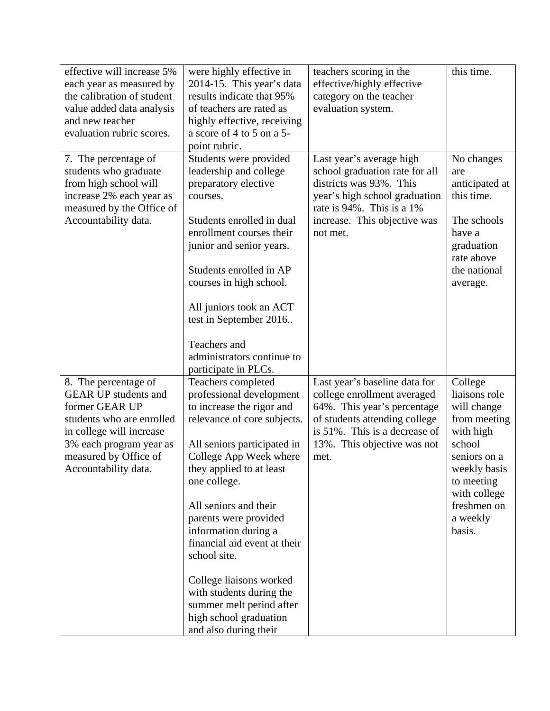| effective will increase 5%  | were highly effective in     | teachers scoring in the                                        | this time.                 |
|-----------------------------|------------------------------|----------------------------------------------------------------|----------------------------|
| each year as measured by    | 2014-15. This year's data    | effective/highly effective                                     |                            |
| the calibration of student  | results indicate that 95%    | category on the teacher                                        |                            |
| value added data analysis   | of teachers are rated as     | evaluation system.                                             |                            |
| and new teacher             | highly effective, receiving  |                                                                |                            |
| evaluation rubric scores.   | a score of 4 to 5 on a 5-    |                                                                |                            |
|                             | point rubric.                |                                                                |                            |
| 7. The percentage of        | Students were provided       | Last year's average high                                       | No changes                 |
| students who graduate       | leadership and college       | school graduation rate for all                                 | are                        |
| from high school will       | preparatory elective         | districts was 93%. This                                        | anticipated at             |
| increase 2% each year as    | courses.                     | year's high school graduation                                  | this time.                 |
| measured by the Office of   |                              | rate is 94%. This is a 1%                                      |                            |
| Accountability data.        | Students enrolled in dual    | increase. This objective was                                   | The schools                |
|                             | enrollment courses their     | not met.                                                       | have a                     |
|                             | junior and senior years.     |                                                                | graduation                 |
|                             |                              |                                                                | rate above                 |
|                             | Students enrolled in AP      |                                                                | the national               |
|                             | courses in high school.      |                                                                | average.                   |
|                             |                              |                                                                |                            |
|                             | All juniors took an ACT      |                                                                |                            |
|                             | test in September 2016       |                                                                |                            |
|                             |                              |                                                                |                            |
|                             | Teachers and                 |                                                                |                            |
|                             | administrators continue to   |                                                                |                            |
|                             | participate in PLCs.         |                                                                |                            |
| 8. The percentage of        | Teachers completed           | Last year's baseline data for                                  | College                    |
| <b>GEAR UP students and</b> | professional development     | college enrollment averaged                                    | liaisons role              |
| former GEAR UP              | to increase the rigor and    | 64%. This year's percentage                                    | will change                |
| students who are enrolled   | relevance of core subjects.  | of students attending college<br>is 51%. This is a decrease of | from meeting               |
| in college will increase    |                              |                                                                | with high<br>school        |
| 3% each program year as     | All seniors participated in  | 13%. This objective was not                                    | seniors on a               |
| measured by Office of       | College App Week where       | met.                                                           | weekly basis               |
| Accountability data.        | they applied to at least     |                                                                |                            |
|                             | one college.                 |                                                                | to meeting<br>with college |
|                             | All seniors and their        |                                                                | freshmen on                |
|                             | parents were provided        |                                                                | a weekly                   |
|                             | information during a         |                                                                | basis.                     |
|                             | financial aid event at their |                                                                |                            |
|                             | school site.                 |                                                                |                            |
|                             |                              |                                                                |                            |
|                             | College liaisons worked      |                                                                |                            |
|                             | with students during the     |                                                                |                            |
|                             | summer melt period after     |                                                                |                            |
|                             | high school graduation       |                                                                |                            |
|                             | and also during their        |                                                                |                            |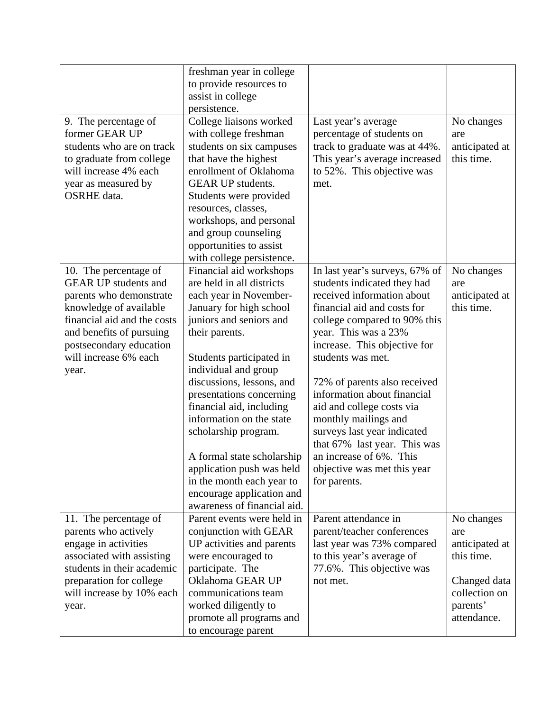| 9. The percentage of<br>former GEAR UP<br>students who are on track<br>to graduate from college<br>will increase 4% each<br>year as measured by<br><b>OSRHE</b> data.                                                             | freshman year in college<br>to provide resources to<br>assist in college<br>persistence.<br>College liaisons worked<br>with college freshman<br>students on six campuses<br>that have the highest<br>enrollment of Oklahoma<br><b>GEAR UP students.</b><br>Students were provided<br>resources, classes,<br>workshops, and personal<br>and group counseling<br>opportunities to assist<br>with college persistence.                                                                                     | Last year's average<br>percentage of students on<br>track to graduate was at 44%.<br>This year's average increased<br>to 52%. This objective was<br>met.                                                                                                                                                                                                                                                                                                                                             | No changes<br>are<br>anticipated at<br>this time.                                                             |
|-----------------------------------------------------------------------------------------------------------------------------------------------------------------------------------------------------------------------------------|---------------------------------------------------------------------------------------------------------------------------------------------------------------------------------------------------------------------------------------------------------------------------------------------------------------------------------------------------------------------------------------------------------------------------------------------------------------------------------------------------------|------------------------------------------------------------------------------------------------------------------------------------------------------------------------------------------------------------------------------------------------------------------------------------------------------------------------------------------------------------------------------------------------------------------------------------------------------------------------------------------------------|---------------------------------------------------------------------------------------------------------------|
| 10. The percentage of<br><b>GEAR UP students and</b><br>parents who demonstrate<br>knowledge of available<br>financial aid and the costs<br>and benefits of pursuing<br>postsecondary education<br>will increase 6% each<br>year. | Financial aid workshops<br>are held in all districts<br>each year in November-<br>January for high school<br>juniors and seniors and<br>their parents.<br>Students participated in<br>individual and group<br>discussions, lessons, and<br>presentations concerning<br>financial aid, including<br>information on the state<br>scholarship program.<br>A formal state scholarship<br>application push was held<br>in the month each year to<br>encourage application and<br>awareness of financial aid. | In last year's surveys, 67% of<br>students indicated they had<br>received information about<br>financial aid and costs for<br>college compared to 90% this<br>year. This was a 23%<br>increase. This objective for<br>students was met.<br>72% of parents also received<br>information about financial<br>aid and college costs via<br>monthly mailings and<br>surveys last year indicated<br>that 67% last year. This was<br>an increase of 6%. This<br>objective was met this year<br>for parents. | No changes<br>are<br>anticipated at<br>this time.                                                             |
| 11. The percentage of<br>parents who actively<br>engage in activities<br>associated with assisting<br>students in their academic<br>preparation for college<br>will increase by 10% each<br>year.                                 | Parent events were held in<br>conjunction with GEAR<br>UP activities and parents<br>were encouraged to<br>participate. The<br>Oklahoma GEAR UP<br>communications team<br>worked diligently to<br>promote all programs and<br>to encourage parent                                                                                                                                                                                                                                                        | Parent attendance in<br>parent/teacher conferences<br>last year was 73% compared<br>to this year's average of<br>77.6%. This objective was<br>not met.                                                                                                                                                                                                                                                                                                                                               | No changes<br>are<br>anticipated at<br>this time.<br>Changed data<br>collection on<br>parents'<br>attendance. |